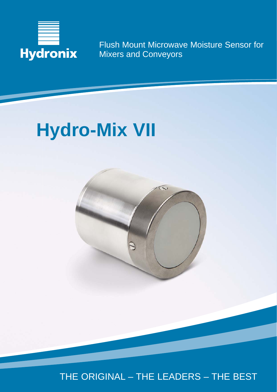

Flush Mount Microwave Moisture Sensor for Mixers and Conveyors

# **Hydro-Mix VII**



THE ORIGINAL – THE LEADERS – THE BEST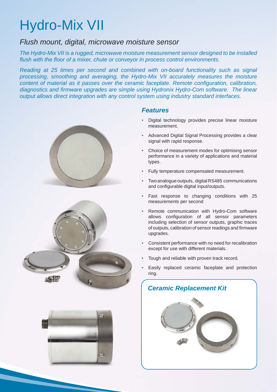## Hydro-Mix VII

## *Flush mount, digital, microwave moisture sensor*

*The Hydro-Mix VII is a rugged, microwave moisture measurement sensor designed to be installed fl ush with the fl oor of a mixer, chute or conveyor in process control environments.* 

*Reading at 25 times per second and combined with on-board functionality such as signal processing, smoothing and averaging, the Hydro-Mix VII accurately measures the moisture content of material as it passes over the ceramic faceplate. Remote configuration, calibration, diagnostics and fi rmware upgrades are simple using Hydronix Hydro-Com software. The linear output allows direct integration with any control system using industry standard interfaces.*



- Digital technology provides precise linear moisture measurement.
- Advanced Digital Signal Processing provides a clear signal with rapid response.
- Choice of measurement modes for optimising sensor performance in a variety of applications and material types.
- Fully temperature compensated measurement.
- Two analogue outputs, digital RS485 communications and configurable digital input/outputs.
- Fast response to changing conditions with 25 measurements per second
- Remote communication with Hydro-Com software allows configuration of all sensor parameters including selection of sensor outputs, graphic traces of outputs, calibration of sensor readings and firmware upgrades.
- Consistent performance with no need for recalibration except for use with different materials.
- Tough and reliable with proven track record.
- Easily replaced ceramic faceplate and protection ring.





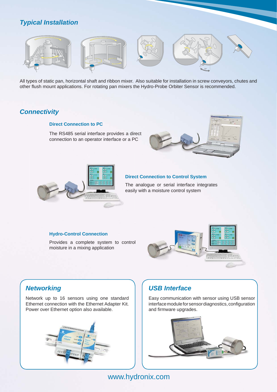## *Typical Installation*



All types of static pan, horizontal shaft and ribbon mixer. Also suitable for installation in screw conveyors, chutes and other flush mount applications. For rotating pan mixers the Hydro-Probe Orbiter Sensor is recommended.

## *Connectivity*

#### **Direct Connection to PC**

The RS485 serial interface provides a direct connection to an operator interface or a PC





#### **Direct Connection to Control System**

The analogue or serial interface integrates easily with a moisture control system

#### **Hydro-Control Connection**

Provides a complete system to control moisture in a mixing application



## *Networking*

Network up to 16 sensors using one standard Ethernet connection with the Ethernet Adapter Kit. Power over Ethernet option also available.



## *USB Interface*

Easy communication with sensor using USB sensor interface module for sensor diagnostics, configuration and firmware upgrades.